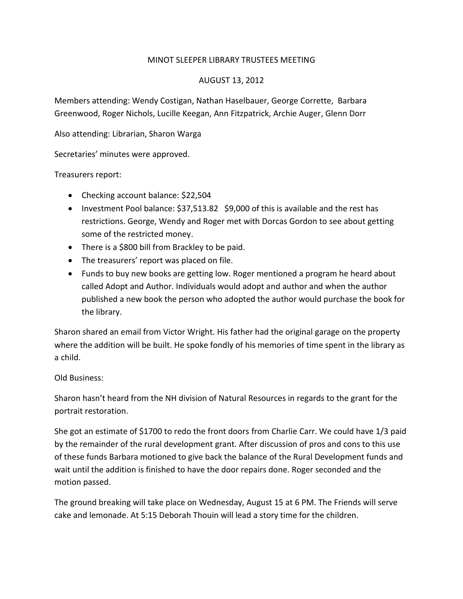## MINOT SLEEPER LIBRARY TRUSTEES MEETING

## AUGUST 13, 2012

Members attending: Wendy Costigan, Nathan Haselbauer, George Corrette, Barbara Greenwood, Roger Nichols, Lucille Keegan, Ann Fitzpatrick, Archie Auger, Glenn Dorr

Also attending: Librarian, Sharon Warga

Secretaries' minutes were approved.

Treasurers report:

- Checking account balance: \$22,504
- Investment Pool balance: \$37,513.82 \$9,000 of this is available and the rest has restrictions. George, Wendy and Roger met with Dorcas Gordon to see about getting some of the restricted money.
- There is a \$800 bill from Brackley to be paid.
- The treasurers' report was placed on file.
- Funds to buy new books are getting low. Roger mentioned a program he heard about called Adopt and Author. Individuals would adopt and author and when the author published a new book the person who adopted the author would purchase the book for the library.

Sharon shared an email from Victor Wright. His father had the original garage on the property where the addition will be built. He spoke fondly of his memories of time spent in the library as a child.

Old Business:

Sharon hasn't heard from the NH division of Natural Resources in regards to the grant for the portrait restoration.

She got an estimate of \$1700 to redo the front doors from Charlie Carr. We could have 1/3 paid by the remainder of the rural development grant. After discussion of pros and cons to this use of these funds Barbara motioned to give back the balance of the Rural Development funds and wait until the addition is finished to have the door repairs done. Roger seconded and the motion passed.

The ground breaking will take place on Wednesday, August 15 at 6 PM. The Friends will serve cake and lemonade. At 5:15 Deborah Thouin will lead a story time for the children.